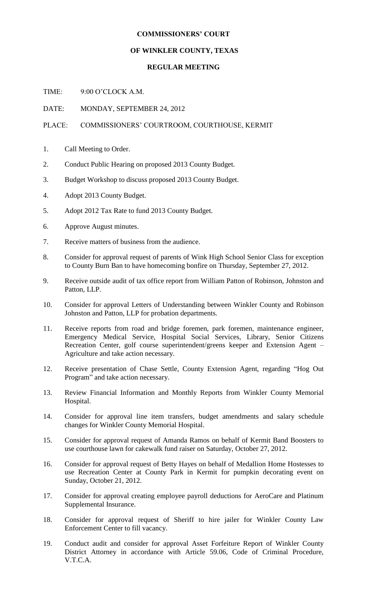## **COMMISSIONERS' COURT**

## **OF WINKLER COUNTY, TEXAS**

## **REGULAR MEETING**

TIME: 9:00 O'CLOCK A.M.

DATE: MONDAY, SEPTEMBER 24, 2012

## PLACE: COMMISSIONERS' COURTROOM, COURTHOUSE, KERMIT

- 1. Call Meeting to Order.
- 2. Conduct Public Hearing on proposed 2013 County Budget.
- 3. Budget Workshop to discuss proposed 2013 County Budget.
- 4. Adopt 2013 County Budget.
- 5. Adopt 2012 Tax Rate to fund 2013 County Budget.
- 6. Approve August minutes.
- 7. Receive matters of business from the audience.
- 8. Consider for approval request of parents of Wink High School Senior Class for exception to County Burn Ban to have homecoming bonfire on Thursday, September 27, 2012.
- 9. Receive outside audit of tax office report from William Patton of Robinson, Johnston and Patton, LLP.
- 10. Consider for approval Letters of Understanding between Winkler County and Robinson Johnston and Patton, LLP for probation departments.
- 11. Receive reports from road and bridge foremen, park foremen, maintenance engineer, Emergency Medical Service, Hospital Social Services, Library, Senior Citizens Recreation Center, golf course superintendent/greens keeper and Extension Agent – Agriculture and take action necessary.
- 12. Receive presentation of Chase Settle, County Extension Agent, regarding "Hog Out Program" and take action necessary.
- 13. Review Financial Information and Monthly Reports from Winkler County Memorial Hospital.
- 14. Consider for approval line item transfers, budget amendments and salary schedule changes for Winkler County Memorial Hospital.
- 15. Consider for approval request of Amanda Ramos on behalf of Kermit Band Boosters to use courthouse lawn for cakewalk fund raiser on Saturday, October 27, 2012.
- 16. Consider for approval request of Betty Hayes on behalf of Medallion Home Hostesses to use Recreation Center at County Park in Kermit for pumpkin decorating event on Sunday, October 21, 2012.
- 17. Consider for approval creating employee payroll deductions for AeroCare and Platinum Supplemental Insurance.
- 18. Consider for approval request of Sheriff to hire jailer for Winkler County Law Enforcement Center to fill vacancy.
- 19. Conduct audit and consider for approval Asset Forfeiture Report of Winkler County District Attorney in accordance with Article 59.06, Code of Criminal Procedure, V.T.C.A.